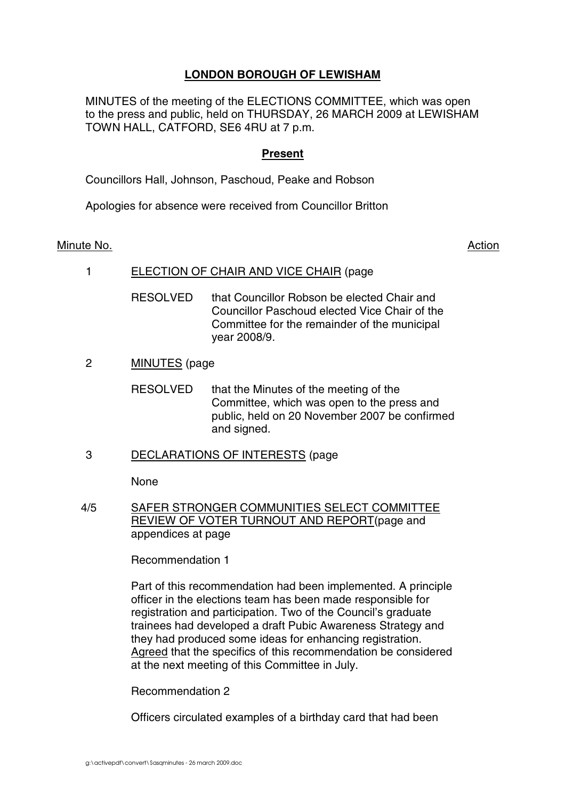# **LONDON BOROUGH OF LEWISHAM**

MINUTES of the meeting of the ELECTIONS COMMITTEE, which was open to the press and public, held on THURSDAY, 26 MARCH 2009 at LEWISHAM TOWN HALL, CATFORD, SE6 4RU at 7 p.m.

## **Present**

Councillors Hall, Johnson, Paschoud, Peake and Robson

Apologies for absence were received from Councillor Britton

Minute No. Action and the set of the set of the set of the set of the set of the set of the set of the set of the set of the set of the set of the set of the set of the set of the set of the set of the set of the set of th

1 ELECTION OF CHAIR AND VICE CHAIR (page

RESOLVED that Councillor Robson be elected Chair and Councillor Paschoud elected Vice Chair of the Committee for the remainder of the municipal year 2008/9.

2 MINUTES (page

RESOLVED that the Minutes of the meeting of the Committee, which was open to the press and public, held on 20 November 2007 be confirmed and signed.

3 DECLARATIONS OF INTERESTS (page

None

4/5 SAFER STRONGER COMMUNITIES SELECT COMMITTEE REVIEW OF VOTER TURNOUT AND REPORT(page and appendices at page

Recommendation 1

Part of this recommendation had been implemented. A principle officer in the elections team has been made responsible for registration and participation. Two of the Council's graduate trainees had developed a draft Pubic Awareness Strategy and they had produced some ideas for enhancing registration. Agreed that the specifics of this recommendation be considered at the next meeting of this Committee in July.

Recommendation 2

Officers circulated examples of a birthday card that had been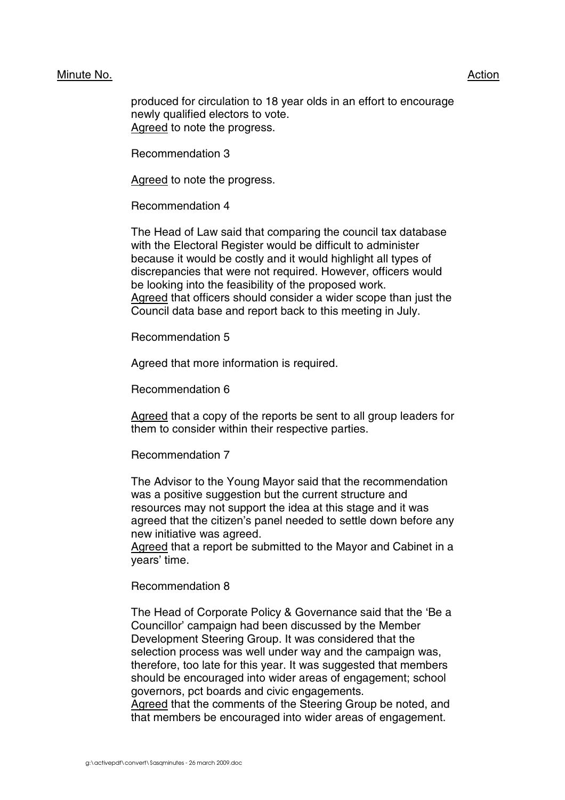#### Minute No. 2008 2012 2022 2023 2024 2022 2022 2023 2024 2022 2023 2024 2022 2023 2024 2022 2023 2024 2022 2023

produced for circulation to 18 year olds in an effort to encourage newly qualified electors to vote. Agreed to note the progress.

Recommendation 3

Agreed to note the progress.

Recommendation 4

The Head of Law said that comparing the council tax database with the Electoral Register would be difficult to administer because it would be costly and it would highlight all types of discrepancies that were not required. However, officers would be looking into the feasibility of the proposed work. Agreed that officers should consider a wider scope than just the Council data base and report back to this meeting in July.

Recommendation 5

Agreed that more information is required.

Recommendation 6

Agreed that a copy of the reports be sent to all group leaders for them to consider within their respective parties.

Recommendation 7

The Advisor to the Young Mayor said that the recommendation was a positive suggestion but the current structure and resources may not support the idea at this stage and it was agreed that the citizen's panel needed to settle down before any new initiative was agreed.

Agreed that a report be submitted to the Mayor and Cabinet in a years' time.

Recommendation 8

The Head of Corporate Policy & Governance said that the 'Be a Councillor' campaign had been discussed by the Member Development Steering Group. It was considered that the selection process was well under way and the campaign was, therefore, too late for this year. It was suggested that members should be encouraged into wider areas of engagement; school governors, pct boards and civic engagements.

Agreed that the comments of the Steering Group be noted, and that members be encouraged into wider areas of engagement.